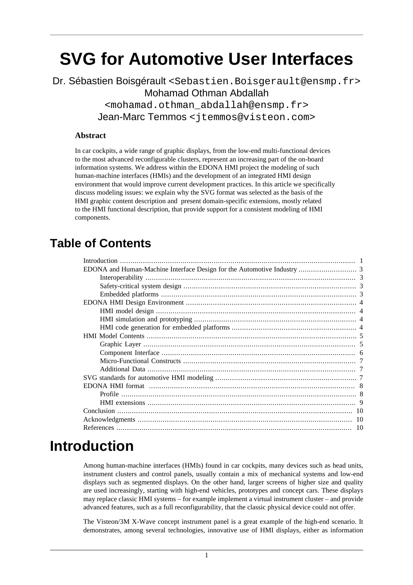# **SVG for Automotive User Interfaces**

#### Dr. Sébastien Boisgérault <Sebastien.Boisgerault@ensmp.fr> Mohamad Othman Abdallah <mohamad.othman\_abdallah@ensmp.fr> Jean-Marc Temmos <jtemmos@visteon.com>

#### **Abstract**

In car cockpits, a wide range of graphic displays, from the low-end multi-functional devices to the most advanced reconfigurable clusters, represent an increasing part of the on-board information systems. We address within the EDONA HMI project the modeling of such human-machine interfaces (HMIs) and the development of an integrated HMI design environment that would improve current development practices. In this article we specifically discuss modeling issues: we explain why the SVG format was selected as the basis of the HMI graphic content description and present domain-specific extensions, mostly related to the HMI functional description, that provide support for a consistent modeling of HMI components.

#### **Table of Contents**

### <span id="page-0-0"></span>**Introduction**

Among human-machine interfaces (HMIs) found in car cockpits, many devices such as head units, instrument clusters and control panels, usually contain a mix of mechanical systems and low-end displays such as segmented displays. On the other hand, larger screens of higher size and quality are used increasingly, starting with high-end vehicles, prototypes and concept cars. These displays may replace classic HMI systems – for example implement a virtual instrument cluster – and provide advanced features, such as a full reconfigurability, that the classic physical device could not offer.

The Visteon/3M X-Wave concept instrument panel is a great example of the high-end scenario. It demonstrates, among several technologies, innovative use of HMI displays, either as information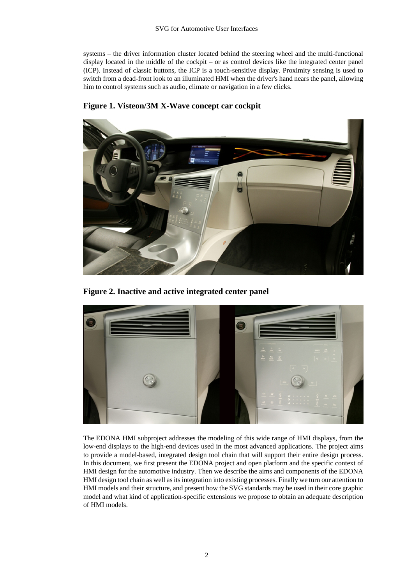systems – the driver information cluster located behind the steering wheel and the multi-functional display located in the middle of the cockpit – or as control devices like the integrated center panel (ICP). Instead of classic buttons, the ICP is a touch-sensitive display. Proximity sensing is used to switch from a dead-front look to an illuminated HMI when the driver's hand nears the panel, allowing him to control systems such as audio, climate or navigation in a few clicks.



**Figure 1. Visteon/3M X-Wave concept car cockpit**

**Figure 2. Inactive and active integrated center panel**



The EDONA HMI subproject addresses the modeling of this wide range of HMI displays, from the low-end displays to the high-end devices used in the most advanced applications. The project aims to provide a model-based, integrated design tool chain that will support their entire design process. In this document, we first present the EDONA project and open platform and the specific context of HMI design for the automotive industry. Then we describe the aims and components of the EDONA HMI design tool chain as well as its integration into existing processes. Finally we turn our attention to HMI models and their structure, and present how the SVG standards may be used in their core graphic model and what kind of application-specific extensions we propose to obtain an adequate description of HMI models.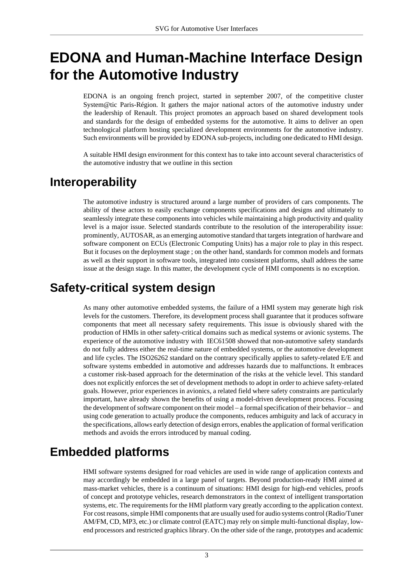## <span id="page-2-0"></span>**EDONA and Human-Machine Interface Design for the Automotive Industry**

EDONA is an ongoing french project, started in september 2007, of the competitive cluster System@tic Paris-Région. It gathers the major national actors of the automotive industry under the leadership of Renault. This project promotes an approach based on shared development tools and standards for the design of embedded systems for the automotive. It aims to deliver an open technological platform hosting specialized development environments for the automotive industry. Such environments will be provided by EDONA sub-projects, including one dedicated to HMI design.

A suitable HMI design environment for this context has to take into account several characteristics of the automotive industry that we outline in this section

#### <span id="page-2-1"></span>**Interoperability**

The automotive industry is structured around a large number of providers of cars components. The ability of these actors to easily exchange components specifications and designs and ultimately to seamlessly integrate these components into vehicles while maintaining a high productivity and quality level is a major issue. Selected standards contribute to the resolution of the interoperability issue: prominently, AUTOSAR, as an emerging automotive standard that targets integration of hardware and software component on ECUs (Electronic Computing Units) has a major role to play in this respect. But it focuses on the deployment stage ; on the other hand, standards for common models and formats as well as their support in software tools, integrated into consistent platforms, shall address the same issue at the design stage. In this matter, the development cycle of HMI components is no exception.

### <span id="page-2-2"></span>**Safety-critical system design**

As many other automotive embedded systems, the failure of a HMI system may generate high risk levels for the customers. Therefore, its development process shall guarantee that it produces software components that meet all necessary safety requirements. This issue is obviously shared with the production of HMIs in other safety-critical domains such as medical systems or avionic systems. The experience of the automotive industry with IEC61508 showed that non-automotive safety standards do not fully address either the real-time nature of embedded systems, or the automotive development and life cycles. The ISO26262 standard on the contrary specifically applies to safety-related E/E and software systems embedded in automotive and addresses hazards due to malfunctions. It embraces a customer risk-based approach for the determination of the risks at the vehicle level. This standard does not explicitly enforces the set of development methods to adopt in order to achieve safety-related goals. However, prior experiences in avionics, a related field where safety constraints are particularly important, have already shown the benefits of using a model-driven development process. Focusing the development of software component on their model – a formal specification of their behavior – and using code generation to actually produce the components, reduces ambiguity and lack of accuracy in the specifications, allows early detection of design errors, enables the application of formal verification methods and avoids the errors introduced by manual coding.

### <span id="page-2-3"></span>**Embedded platforms**

HMI software systems designed for road vehicles are used in wide range of application contexts and may accordingly be embedded in a large panel of targets. Beyond production-ready HMI aimed at mass-market vehicles, there is a continuum of situations: HMI design for high-end vehicles, proofs of concept and prototype vehicles, research demonstrators in the context of intelligent transportation systems, etc. The requirements for the HMI platform vary greatly according to the application context. For cost reasons, simple HMI components that are usually used for audio systems control (Radio/Tuner AM/FM, CD, MP3, etc.) or climate control (EATC) may rely on simple multi-functional display, lowend processors and restricted graphics library. On the other side of the range, prototypes and academic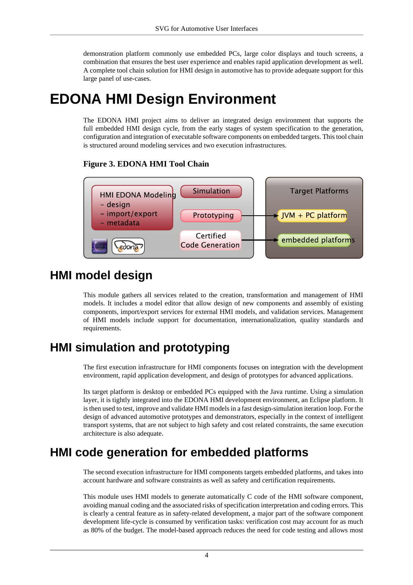demonstration platform commonly use embedded PCs, large color displays and touch screens, a combination that ensures the best user experience and enables rapid application development as well. A complete tool chain solution for HMI design in automotive has to provide adequate support for this large panel of use-cases.

## <span id="page-3-0"></span>**EDONA HMI Design Environment**

The EDONA HMI project aims to deliver an integrated design environment that supports the full embedded HMI design cycle, from the early stages of system specification to the generation, configuration and integration of executable software components on embedded targets. This tool chain is structured around modeling services and two execution infrastructures.

#### **Figure 3. EDONA HMI Tool Chain**



#### <span id="page-3-1"></span>**HMI model design**

This module gathers all services related to the creation, transformation and management of HMI models. It includes a model editor that allow design of new components and assembly of existing components, import/export services for external HMI models, and validation services. Management of HMI models include support for documentation, internationalization, quality standards and requirements.

### <span id="page-3-2"></span>**HMI simulation and prototyping**

The first execution infrastructure for HMI components focuses on integration with the development environment, rapid application development, and design of prototypes for advanced applications.

Its target platform is desktop or embedded PCs equipped with the Java runtime. Using a simulation layer, it is tightly integrated into the EDONA HMI development environment, an Eclipse platform. It is then used to test, improve and validate HMI models in a fast design-simulation iteration loop. For the design of advanced automotive prototypes and demonstrators, especially in the context of intelligent transport systems, that are not subject to high safety and cost related constraints, the same execution architecture is also adequate.

### <span id="page-3-3"></span>**HMI code generation for embedded platforms**

The second execution infrastructure for HMI components targets embedded platforms, and takes into account hardware and software constraints as well as safety and certification requirements.

This module uses HMI models to generate automatically C code of the HMI software component, avoiding manual coding and the associated risks of specification interpretation and coding errors. This is clearly a central feature as in safety-related development, a major part of the software component development life-cycle is consumed by verification tasks: verification cost may account for as much as 80% of the budget. The model-based approach reduces the need for code testing and allows most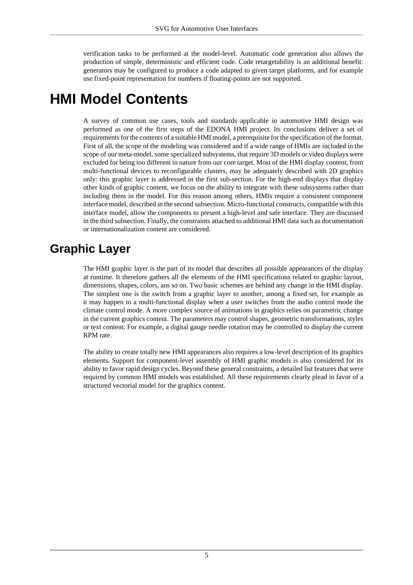verification tasks to be performed at the model-level. Automatic code generation also allows the production of simple, deterministic and efficient code. Code retargetability is an additional benefit: generators may be configured to produce a code adapted to given target platforms, and for example use fixed-point representation for numbers if floating-points are not supported.

## <span id="page-4-0"></span>**HMI Model Contents**

A survey of common use cases, tools and standards applicable in automotive HMI design was performed as one of the first steps of the EDONA HMI project. Its conclusions deliver a set of requirements for the contents of a suitable HMI model, a prerequisite for the specification of the format. First of all, the scope of the modeling was considered and if a wide range of HMIs are included in the scope of our meta-model, some specialized subsystems, that require 3D models or video displays were excluded for being too different in nature from our core target. Most of the HMI display content, from multi-functional devices to reconfigurable clusters, may be adequately described with 2D graphics only: this graphic layer is addressed in the first sub-section. For the high-end displays that display other kinds of graphic content, we focus on the ability to integrate with these subsystems rather than including them in the model. For this reason among others, HMIs require a consistent component interface model, described in the second subsection. Micro-functional constructs, compatible with this interface model, allow the components to present a high-level and safe interface. They are discussed in the third subsection. Finally, the constraints attached to additional HMI data such as documentation or internationalization content are considered.

#### <span id="page-4-1"></span>**Graphic Layer**

The HMI graphic layer is the part of its model that describes all possible appearances of the display at runtime. It therefore gathers all the elements of the HMI specifications related to graphic layout, dimensions, shapes, colors, ans so on. Two basic schemes are behind any change in the HMI display. The simplest one is the switch from a graphic layer to another, among a fixed set, for example as it may happen to a multi-functional display when a user switches from the audio control mode the climate control mode. A more complex source of animations in graphics relies on parametric change in the current graphics content. The parameters may control shapes, geometric transformations, styles or text content. For example, a digital gauge needle rotation may be controlled to display the current RPM rate.

The ability to create totally new HMI appearances also requires a low-level description of its graphics elements. Support for component-level assembly of HMI graphic models is also considered for its ability to favor rapid design cycles. Beyond these general constraints, a detailed list features that were required by common HMI models was established. All these requirements clearly plead in favor of a structured vectorial model for the graphics content.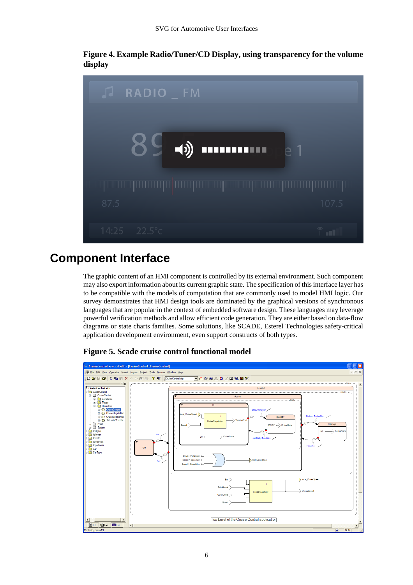**Figure 4. Example Radio/Tuner/CD Display, using transparency for the volume display**



### <span id="page-5-0"></span>**Component Interface**

The graphic content of an HMI component is controlled by its external environment. Such component may also export information about its current graphic state. The specification of this interface layer has to be compatible with the models of computation that are commonly used to model HMI logic. Our survey demonstrates that HMI design tools are dominated by the graphical versions of synchronous languages that are popular in the context of embedded software design. These languages may leverage powerful verification methods and allow efficient code generation. They are either based on data-flow diagrams or state charts families. Some solutions, like SCADE, Esterel Technologies safety-critical application development environment, even support constructs of both types.



#### **Figure 5. Scade cruise control functional model**

6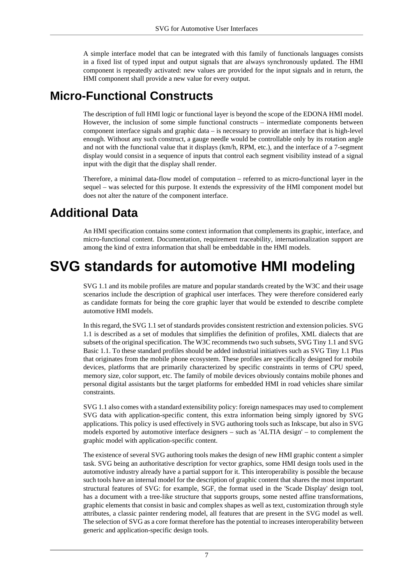A simple interface model that can be integrated with this family of functionals languages consists in a fixed list of typed input and output signals that are always synchronously updated. The HMI component is repeatedly activated: new values are provided for the input signals and in return, the HMI component shall provide a new value for every output.

#### <span id="page-6-0"></span>**Micro-Functional Constructs**

The description of full HMI logic or functional layer is beyond the scope of the EDONA HMI model. However, the inclusion of some simple functional constructs – intermediate components between component interface signals and graphic data – is necessary to provide an interface that is high-level enough. Without any such construct, a gauge needle would be controllable only by its rotation angle and not with the functional value that it displays (km/h, RPM, etc.), and the interface of a 7-segment display would consist in a sequence of inputs that control each segment visibility instead of a signal input with the digit that the display shall render.

Therefore, a minimal data-flow model of computation – referred to as micro-functional layer in the sequel – was selected for this purpose. It extends the expressivity of the HMI component model but does not alter the nature of the component interface.

### <span id="page-6-1"></span>**Additional Data**

An HMI specification contains some context information that complements its graphic, interface, and micro-functional content. Documentation, requirement traceability, internationalization support are among the kind of extra information that shall be embeddable in the HMI models.

## <span id="page-6-2"></span>**SVG standards for automotive HMI modeling**

SVG 1.1 and its mobile profiles are mature and popular standards created by the W3C and their usage scenarios include the description of graphical user interfaces. They were therefore considered early as candidate formats for being the core graphic layer that would be extended to describe complete automotive HMI models.

In this regard, the SVG 1.1 set of standards provides consistent restriction and extension policies. SVG 1.1 is described as a set of modules that simplifies the definition of profiles, XML dialects that are subsets of the original specification. The W3C recommends two such subsets, SVG Tiny 1.1 and SVG Basic 1.1. To these standard profiles should be added industrial initiatives such as SVG Tiny 1.1 Plus that originates from the mobile phone ecosystem. These profiles are specifically designed for mobile devices, platforms that are primarily characterized by specific constraints in terms of CPU speed, memory size, color support, etc. The family of mobile devices obviously contains mobile phones and personal digital assistants but the target platforms for embedded HMI in road vehicles share similar constraints.

SVG 1.1 also comes with a standard extensibility policy: foreign namespaces may used to complement SVG data with application-specific content, this extra information being simply ignored by SVG applications. This policy is used effectively in SVG authoring tools such as Inkscape, but also in SVG models exported by automotive interface designers – such as 'ALTIA design' – to complement the graphic model with application-specific content.

The existence of several SVG authoring tools makes the design of new HMI graphic content a simpler task. SVG being an authoritative description for vector graphics, some HMI design tools used in the automotive industry already have a partial support for it. This interoperability is possible the because such tools have an internal model for the description of graphic content that shares the most important structural features of SVG: for example, SGF, the format used in the 'Scade Display' design tool, has a document with a tree-like structure that supports groups, some nested affine transformations, graphic elements that consist in basic and complex shapes as well as text, customization through style attributes, a classic painter rendering model, all features that are present in the SVG model as well. The selection of SVG as a core format therefore has the potential to increases interoperability between generic and application-specific design tools.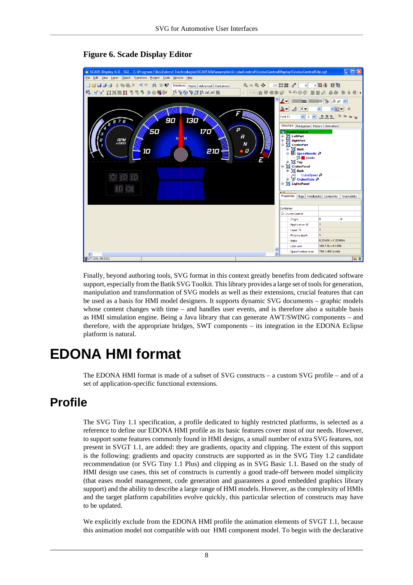

#### **Figure 6. Scade Display Editor**

Finally, beyond authoring tools, SVG format in this context greatly benefits from dedicated software support, especially from the Batik SVG Toolkit. This library provides a large set of tools for generation, manipulation and transformation of SVG models as well as their extensions, crucial features that can be used as a basis for HMI model designers. It supports dynamic SVG documents – graphic models whose content changes with time – and handles user events, and is therefore also a suitable basis as HMI simulation engine. Being a Java library that can generate AWT/SWING components – and therefore, with the appropriate bridges, SWT components – its integration in the EDONA Eclipse platform is natural.

## <span id="page-7-0"></span>**EDONA HMI format**

The EDONA HMI format is made of a subset of SVG constructs – a custom SVG profile – and of a set of application-specific functional extensions.

#### <span id="page-7-1"></span>**Profile**

The SVG Tiny 1.1 specification, a profile dedicated to highly restricted platforms, is selected as a reference to define our EDONA HMI profile as its basic features cover most of our needs. However, to support some features commonly found in HMI designs, a small number of extra SVG features, not present in SVGT 1.1, are added: they are gradients, opacity and clipping. The extent of this support is the following: gradients and opacity constructs are supported as in the SVG Tiny 1.2 candidate recommendation (or SVG Tiny 1.1 Plus) and clipping as in SVG Basic 1.1. Based on the study of HMI design use cases, this set of constructs is currently a good trade-off between model simplicity (that eases model management, code generation and guarantees a good embedded graphics library support) and the ability to describe a large range of HMI models. However, as the complexity of HMIs and the target platform capabilities evolve quickly, this particular selection of constructs may have to be updated.

We explicitly exclude from the EDONA HMI profile the animation elements of SVGT 1.1, because this animation model not compatible with our HMI component model. To begin with the declarative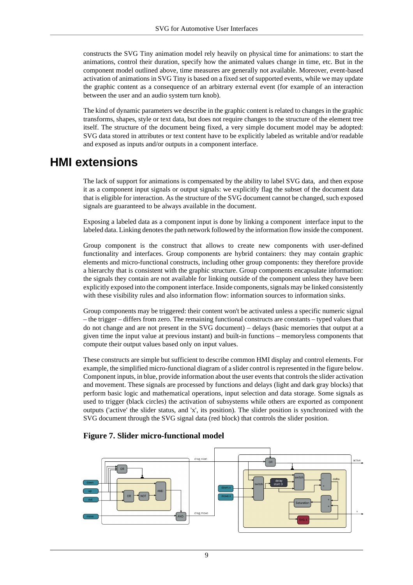constructs the SVG Tiny animation model rely heavily on physical time for animations: to start the animations, control their duration, specify how the animated values change in time, etc. But in the component model outlined above, time measures are generally not available. Moreover, event-based activation of animations in SVG Tiny is based on a fixed set of supported events, while we may update the graphic content as a consequence of an arbitrary external event (for example of an interaction between the user and an audio system turn knob).

The kind of dynamic parameters we describe in the graphic content is related to changes in the graphic transforms, shapes, style or text data, but does not require changes to the structure of the element tree itself. The structure of the document being fixed, a very simple document model may be adopted: SVG data stored in attributes or text content have to be explicitly labeled as writable and/or readable and exposed as inputs and/or outputs in a component interface.

#### <span id="page-8-0"></span>**HMI extensions**

The lack of support for animations is compensated by the ability to label SVG data, and then expose it as a component input signals or output signals: we explicitly flag the subset of the document data that is eligible for interaction. As the structure of the SVG document cannot be changed, such exposed signals are guaranteed to be always available in the document.

Exposing a labeled data as a component input is done by linking a component interface input to the labeled data. Linking denotes the path network followed by the information flow inside the component.

Group component is the construct that allows to create new components with user-defined functionality and interfaces. Group components are hybrid containers: they may contain graphic elements and micro-functional constructs, including other group components: they therefore provide a hierarchy that is consistent with the graphic structure. Group components encapsulate information: the signals they contain are not available for linking outside of the component unless they have been explicitly exposed into the component interface. Inside components, signals may be linked consistently with these visibility rules and also information flow: information sources to information sinks.

Group components may be triggered: their content won't be activated unless a specific numeric signal – the trigger – differs from zero. The remaining functional constructs are constants – typed values that do not change and are not present in the SVG document) – delays (basic memories that output at a given time the input value at previous instant) and built-in functions – memoryless components that compute their output values based only on input values.

These constructs are simple but sufficient to describe common HMI display and control elements. For example, the simplified micro-functional diagram of a slider control is represented in the figure below. Component inputs, in blue, provide information about the user events that controls the slider activation and movement. These signals are processed by functions and delays (light and dark gray blocks) that perform basic logic and mathematical operations, input selection and data storage. Some signals as used to trigger (black circles) the activation of subsystems while others are exported as component outputs ('active' the slider status, and 'x', its position). The slider position is synchronized with the SVG document through the SVG signal data (red block) that controls the slider position.

#### **Figure 7. Slider micro-functional model**

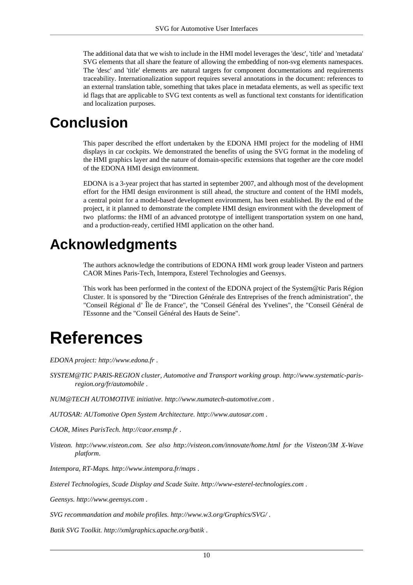The additional data that we wish to include in the HMI model leverages the 'desc', 'title' and 'metadata' SVG elements that all share the feature of allowing the embedding of non-svg elements namespaces. The 'desc' and 'title' elements are natural targets for component documentations and requirements traceability. Internationalization support requires several annotations in the document: references to an external translation table, something that takes place in metadata elements, as well as specific text id flags that are applicable to SVG text contents as well as functional text constants for identification and localization purposes.

## <span id="page-9-0"></span>**Conclusion**

This paper described the effort undertaken by the EDONA HMI project for the modeling of HMI displays in car cockpits. We demonstrated the benefits of using the SVG format in the modeling of the HMI graphics layer and the nature of domain-specific extensions that together are the core model of the EDONA HMI design environment.

EDONA is a 3-year project that has started in september 2007, and although most of the development effort for the HMI design environment is still ahead, the structure and content of the HMI models, a central point for a model-based development environment, has been established. By the end of the project, it it planned to demonstrate the complete HMI design environment with the development of two platforms: the HMI of an advanced prototype of intelligent transportation system on one hand, and a production-ready, certified HMI application on the other hand.

## <span id="page-9-1"></span>**Acknowledgments**

The authors acknowledge the contributions of EDONA HMI work group leader Visteon and partners CAOR Mines Paris-Tech, Intempora, Esterel Technologies and Geensys.

This work has been performed in the context of the EDONA project of the System@tic Paris Région Cluster. It is sponsored by the "Direction Générale des Entreprises of the french administration", the "Conseil Régional d' Île de France", the "Conseil Général des Yvelines", the "Conseil Général de l'Essonne and the "Conseil Général des Hauts de Seine".

# <span id="page-9-2"></span>**References**

*EDONA project: [http://www.edona.fr](http://www.edona.fr/)* .

*SYSTEM@TIC PARIS-REGION cluster, Automotive and Transport working group. [http://www.systematic-paris](http://www.systematic-paris-region.org/fr/automobile)[region.org/fr/automobile](http://www.systematic-paris-region.org/fr/automobile)* .

*NUM@TECH AUTOMOTIVE initiative. [http://www.numatech-automotive.com](http://www.numatech-automotive.com/)* .

*AUTOSAR: AUTomotive Open System Architecture. [http://www.autosar.com](http://www.autosar.com/)* .

*CAOR, Mines ParisTech. [http://caor.ensmp.fr](http://caor.ensmp.fr/)* .

*Visteon. [http://www.visteon.com](http://www.visteon.com/). See also <http://visteon.com/innovate/home.html>for the Visteon/3M X-Wave platform*.

*Intempora, RT-Maps. <http://www.intempora.fr/maps>* .

*Esterel Technologies, Scade Display and Scade Suite. [http://www-esterel-technologies.com](http://www-esterel-technologies.com/)* .

*Geensys. [http://www.geensys.com](http://www.geensys.com/)* .

*SVG recommandation and mobile profiles. <http://www.w3.org/Graphics/SVG/>* .

*Batik SVG Toolkit. [http://xmlgraphics.apache.org/batik](http://xmlgraphics.apache.org/batik/)* .